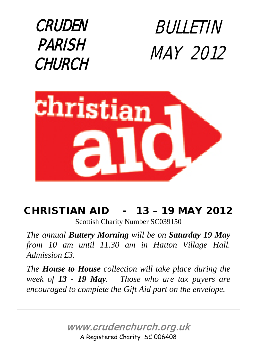

BULLETIN MAY 2012



### CHRISTIAN AID - 13 – 19 MAY 2012

Scottish Charity Number SC039150

*The annual Buttery Morning will be on Saturday 19 May from 10 am until 11.30 am in Hatton Village Hall. Admission £3.* 

*The House to House collection will take place during the week of 13 - 19 May. Those who are tax payers are encouraged to complete the Gift Aid part on the envelope.*

> www.crudenchurch.org.uk A Registered Charity SC 006408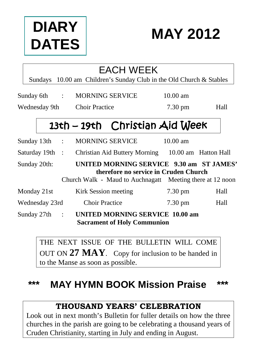# **DIARY DATES**

## **MAY 2012**

### EACH WEEK

Sundays 10.00 am Children's Sunday Club in the Old Church & Stables

|               | Sunday 6th :    |  | <b>MORNING SERVICE</b>                                                                                                                         | $10.00 \text{ am}$ |      |
|---------------|-----------------|--|------------------------------------------------------------------------------------------------------------------------------------------------|--------------------|------|
| Wednesday 9th |                 |  | <b>Choir Practice</b>                                                                                                                          | $7.30 \text{ pm}$  | Hall |
|               |                 |  | 13th - 19th Christian Aid Week                                                                                                                 |                    |      |
|               | Sunday $13th$ : |  | <b>MORNING SERVICE</b>                                                                                                                         | $10.00 \text{ am}$ |      |
|               | Saturday 19th : |  | Christian Aid Buttery Morning 10.00 am Hatton Hall                                                                                             |                    |      |
| Sunday 20th:  |                 |  | UNITED MORNING SERVICE 9.30 am ST JAMES'<br>therefore no service in Cruden Church<br>Church Walk - Maud to Auchnagatt Meeting there at 12 noon |                    |      |
| Monday 21st   |                 |  | Kirk Session meeting                                                                                                                           | 7.30 pm            | Hall |
|               | Wednesday 23rd  |  | <b>Choir Practice</b>                                                                                                                          | $7.30 \text{ pm}$  | Hall |
|               | Sunday 27th :   |  | <b>UNITED MORNING SERVICE 10.00 am</b><br><b>Sacrament of Holy Communion</b>                                                                   |                    |      |

THE NEXT ISSUE OF THE BULLETIN WILL COME OUT ON **27 MAY**. Copy for inclusion to be handed in to the Manse as soon as possible.

### **\*\*\* MAY HYMN BOOK Mission Praise \*\*\***

### **THOUSAND YEARS' CELEBRATION**

Look out in next month's Bulletin for fuller details on how the three churches in the parish are going to be celebrating a thousand years of Cruden Christianity, starting in July and ending in August.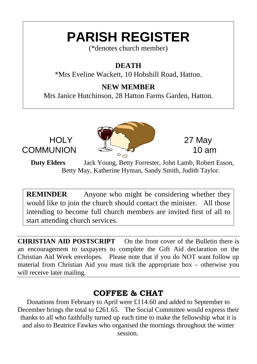## **PARISH REGISTER**

(\*denotes church member)

### **DEATH**

\*Mrs Eveline Wackett, 10 Hobshill Road, Hatton.

### **NEW MEMBER**

Mrs Janice Hutchinson, 28 Hatton Farms Garden, Hatton.



**Duty Elders** Jack Young, Betty Forrester, John Lamb, Robert Esson, Betty May, Katherine Hyman, Sandy Smith, Judith Taylor.

**REMINDER** Anyone who might be considering whether they would like to join the church should contact the minister. All those intending to become full church members are invited first of all to start attending church services.

**CHRISTIAN AID POSTSCRIPT** On the front cover of the Bulletin there is an encouragement to taxpayers to complete the Gift Aid declaration on the Christian Aid Week envelopes. Please note that if you do NOT want follow up material from Christian Aid you must tick the appropriate box – otherwise you will receive later mailing.

### **COFFEE & CHAT**

Donations from February to April were £114.60 and added to September to December brings the total to £261.65. The Social Committee would express their thanks to all who faithfully turned up each time to make the fellowship what it is and also to Beatrice Fawkes who organised the mornings throughout the winter session.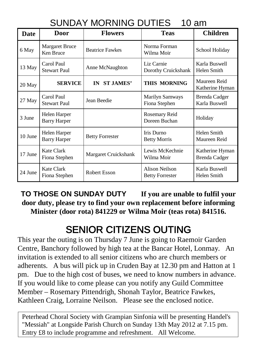### SUNDAY MORNING DUTIES 10 am

| Date    | <b>Door</b>                         | <b>Flowers</b>         | <b>Teas</b>                                     | <b>Children</b>                  |
|---------|-------------------------------------|------------------------|-------------------------------------------------|----------------------------------|
| 6 May   | <b>Margaret Bruce</b><br>Ken Bruce  | <b>Beatrice Fawkes</b> | Norma Forman<br>Wilma Moir                      | School Holiday                   |
| 13 May  | Carol Paul<br><b>Stewart Paul</b>   | Anne McNaughton        | Liz Carnie<br>Dorothy Cruickshank               | Karla Buswell<br>Helen Smith     |
| 20 May  | <b>SERVICE</b>                      | IN ST JAMES'           | <b>THIS MORNING</b>                             | Maureen Reid<br>Katherine Hyman  |
| 27 May  | Carol Paul<br><b>Stewart Paul</b>   | Jean Beedie            | Marilyn Samways<br>Fiona Stephen                | Brenda Cadger<br>Karla Buswell   |
| 3 June  | Helen Harper<br><b>Barry Harper</b> |                        | Rosemary Reid<br>Doreen Buchan                  | Holiday                          |
| 10 June | Helen Harper<br><b>Barry Harper</b> | <b>Betty Forrester</b> | Iris Durno<br><b>Betty Morris</b>               | Helen Smith<br>Maureen Reid      |
| 17 June | <b>Kate Clark</b><br>Fiona Stephen  | Margaret Cruickshank   | Lewis McKechnie<br>Wilma Moir                   | Katherine Hyman<br>Brenda Cadger |
| 24 June | <b>Kate Clark</b><br>Fiona Stephen  | <b>Robert Esson</b>    | <b>Alison Neilson</b><br><b>Betty Forrester</b> | Karla Buswell<br>Helen Smith     |

**TO THOSE ON SUNDAY DUTY If you are unable to fulfil your door duty, please try to find your own replacement before informing Minister (door rota) 841229 or Wilma Moir (teas rota) 841516.**

## SENIOR CITIZENS OUTING

This year the outing is on Thursday 7 June is going to Raemoir Garden Centre, Banchory followed by high tea at the Bancar Hotel, Lonmay. An invitation is extended to all senior citizens who are church members or adherents. A bus will pick up in Cruden Bay at 12.30 pm and Hatton at 1 pm. Due to the high cost of buses, we need to know numbers in advance. If you would like to come please can you notify any Guild Committee Member – Rosemary Pittendrigh, Shonah Taylor, Beatrice Fawkes, Kathleen Craig, Lorraine Neilson. Please see the enclosed notice.

Peterhead Choral Society with Grampian Sinfonia will be presenting Handel's "Messiah" at Longside Parish Church on Sunday 13th May 2012 at 7.15 pm. Entry £8 to include programme and refreshment. All Welcome.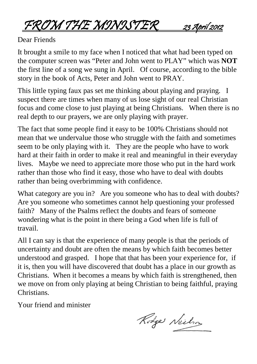FROM THE MINISTER 23 April 2012

Dear Friends

It brought a smile to my face when I noticed that what had been typed on the computer screen was "Peter and John went to PLAY" which was **NOT** the first line of a song we sung in April. Of course, according to the bible story in the book of Acts, Peter and John went to PRAY.

This little typing faux pas set me thinking about playing and praying. I suspect there are times when many of us lose sight of our real Christian focus and come close to just playing at being Christians. When there is no real depth to our prayers, we are only playing with prayer.

The fact that some people find it easy to be 100% Christians should not mean that we undervalue those who struggle with the faith and sometimes seem to be only playing with it. They are the people who have to work hard at their faith in order to make it real and meaningful in their everyday lives. Maybe we need to appreciate more those who put in the hard work rather than those who find it easy, those who have to deal with doubts rather than being overbrimming with confidence.

What category are you in? Are you someone who has to deal with doubts? Are you someone who sometimes cannot help questioning your professed faith? Many of the Psalms reflect the doubts and fears of someone wondering what is the point in there being a God when life is full of travail.

All I can say is that the experience of many people is that the periods of uncertainty and doubt are often the means by which faith becomes better understood and grasped. I hope that that has been your experience for, if it is, then you will have discovered that doubt has a place in our growth as Christians. When it becomes a means by which faith is strengthened, then we move on from only playing at being Christian to being faithful, praying Christians.

Your friend and minister

Rodge Neilson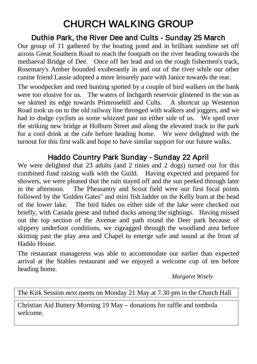## CHURCH WALKING GROUP

### Duthie Park, the River Dee and Cults - Sunday 25 March

Our group of 11 gathered by the boating pond and in brilliant sunshine set off across Great Southern Road to reach the footpath on the river heading towards the mediaeval Bridge of Dee. Once off her lead and on the rough fishermen's track, Rosemary's Amber bounded exuberantly in and out of the river while our other canine friend Lassie adopted a more leisurely pace with Janice towards the rear.

The woodpecker and reed bunting spotted by a couple of bird walkers on the bank were too elusive for us. The waters of Inchgarth reservoir glistened in the sun as we skirted its edge towards Primrosehill and Cults. A shortcut up Westerton Road took us on to the old railway line thronged with walkers and joggers, and we had to dodge cyclists as some whizzed past on either side of us. We sped over the striking new bridge at Holburn Street and along the elevated track to the park for a cool drink at the cafe before heading home. We were delighted with the turnout for this first walk and hope to have similar support for our future walks.

### Haddo Country Park Sunday - Sunday 22 April

We were delighted that 23 adults (and 2 tinies and 2 dogs) turned out for this combined fund raising walk with the Guild. Having expected and prepared for showers, we were pleased that the rain stayed off and the sun peeked through later in the afternoon. The Pheasantry and Scout field were our first focal points followed by the 'Golden Gates" and mini fish ladder on the Kelly burn at the head of the lower lake. The bird hides on either side of the lake were checked out briefly, with Canada geese and tufted ducks among the sightings. Having missed out the top section of the Avenue and path round the Deer park because of slippery underfoot conditions, we zigzagged through the woodland area before skirting past the play area and Chapel to emerge safe and sound at the front of Haddo House.

The restaurant manageress was able to accommodate our earlier than expected arrival at the Stables restaurant and we enjoyed a welcome cup of ten before heading home.

*Margaret Wisely*

The Kirk Session next meets on Monday 21 May at 7.30 pm in the Church Hall

Christian Aid Buttery Morning 19 May – donations for raffle and tombola welcome.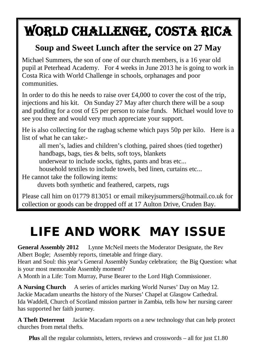# WORLD CHALLENGE, COSTA RICA

### **Soup and Sweet Lunch after the service on 27 May**

Michael Summers, the son of one of our church members, is a 16 year old pupil at Peterhead Academy. For 4 weeks in June 2013 he is going to work in Costa Rica with World Challenge in schools, orphanages and poor communities.

In order to do this he needs to raise over £4,000 to cover the cost of the trip, injections and his kit. On Sunday 27 May after church there will be a soup and pudding for a cost of £5 per person to raise funds. Michael would love to see you there and would very much appreciate your support.

He is also collecting for the ragbag scheme which pays 50p per kilo. Here is a list of what he can take:-

 all men's, ladies and children's clothing, paired shoes (tied together) handbags, bags, ties & belts, soft toys, blankets

underwear to include socks, tights, pants and bras etc...

household textiles to include towels, bed linen, curtains etc...

He cannot take the following items:

duvets both synthetic and feathered, carpets, rugs

Please call him on 01779 813051 or email mikeyjsummers@hotmail.co.uk for collection or goods can be dropped off at 17 Aulton Drive, Cruden Bay.

## LIFE AND WORK MAY ISSUE

**General Assembly 2012** Lynne McNeil meets the Moderator Designate, the Rev Albert Bogle; Assembly reports, timetable and fringe diary.

Heart and Soul: this year's General Assembly Sunday celebration; the Big Question: what is your most memorable Assembly moment?

A Month in a Life: Tom Murray, Purse Bearer to the Lord High Commissioner.

**A Nursing Church** A series of articles marking World Nurses' Day on May 12. Jackie Macadam unearths the history of the Nurses' Chapel at Glasgow Cathedral. Ida Waddell, Church of Scotland mission partner in Zambia, tells how her nursing career has supported her faith journey.

**A Theft Deterrent** Jackie Macadam reports on a new technology that can help protect churches from metal thefts.

**Plus** all the regular columnists, letters, reviews and crosswords – all for just £1.80